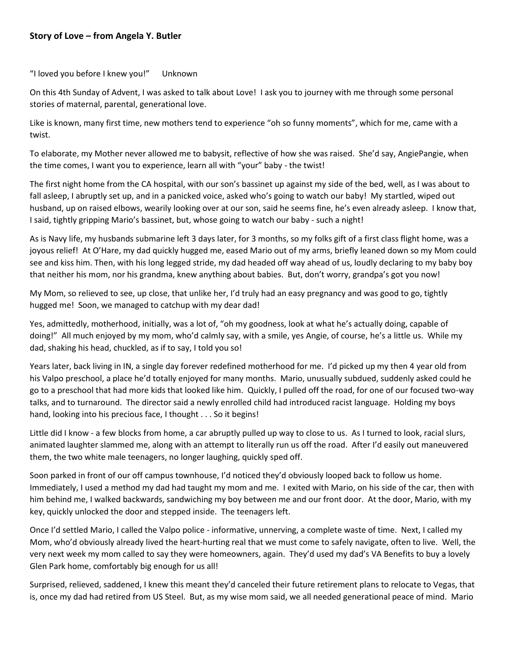## **Story of Love – from Angela Y. Butler**

"I loved you before I knew you!" Unknown

On this 4th Sunday of Advent, I was asked to talk about Love! I ask you to journey with me through some personal stories of maternal, parental, generational love.

Like is known, many first time, new mothers tend to experience "oh so funny moments", which for me, came with a twist.

To elaborate, my Mother never allowed me to babysit, reflective of how she was raised. She'd say, AngiePangie, when the time comes, I want you to experience, learn all with "your" baby - the twist!

The first night home from the CA hospital, with our son's bassinet up against my side of the bed, well, as I was about to fall asleep, I abruptly set up, and in a panicked voice, asked who's going to watch our baby! My startled, wiped out husband, up on raised elbows, wearily looking over at our son, said he seems fine, he's even already asleep. I know that, I said, tightly gripping Mario's bassinet, but, whose going to watch our baby - such a night!

As is Navy life, my husbands submarine left 3 days later, for 3 months, so my folks gift of a first class flight home, was a joyous relief! At O'Hare, my dad quickly hugged me, eased Mario out of my arms, briefly leaned down so my Mom could see and kiss him. Then, with his long legged stride, my dad headed off way ahead of us, loudly declaring to my baby boy that neither his mom, nor his grandma, knew anything about babies. But, don't worry, grandpa's got you now!

My Mom, so relieved to see, up close, that unlike her, I'd truly had an easy pregnancy and was good to go, tightly hugged me! Soon, we managed to catchup with my dear dad!

Yes, admittedly, motherhood, initially, was a lot of, "oh my goodness, look at what he's actually doing, capable of doing!" All much enjoyed by my mom, who'd calmly say, with a smile, yes Angie, of course, he's a little us. While my dad, shaking his head, chuckled, as if to say, I told you so!

Years later, back living in IN, a single day forever redefined motherhood for me. I'd picked up my then 4 year old from his Valpo preschool, a place he'd totally enjoyed for many months. Mario, unusually subdued, suddenly asked could he go to a preschool that had more kids that looked like him. Quickly, I pulled off the road, for one of our focused two-way talks, and to turnaround. The director said a newly enrolled child had introduced racist language. Holding my boys hand, looking into his precious face, I thought . . . So it begins!

Little did I know - a few blocks from home, a car abruptly pulled up way to close to us. As I turned to look, racial slurs, animated laughter slammed me, along with an attempt to literally run us off the road. After I'd easily out maneuvered them, the two white male teenagers, no longer laughing, quickly sped off.

Soon parked in front of our off campus townhouse, I'd noticed they'd obviously looped back to follow us home. Immediately, I used a method my dad had taught my mom and me. I exited with Mario, on his side of the car, then with him behind me, I walked backwards, sandwiching my boy between me and our front door. At the door, Mario, with my key, quickly unlocked the door and stepped inside. The teenagers left.

Once I'd settled Mario, I called the Valpo police - informative, unnerving, a complete waste of time. Next, I called my Mom, who'd obviously already lived the heart-hurting real that we must come to safely navigate, often to live. Well, the very next week my mom called to say they were homeowners, again. They'd used my dad's VA Benefits to buy a lovely Glen Park home, comfortably big enough for us all!

Surprised, relieved, saddened, I knew this meant they'd canceled their future retirement plans to relocate to Vegas, that is, once my dad had retired from US Steel. But, as my wise mom said, we all needed generational peace of mind. Mario